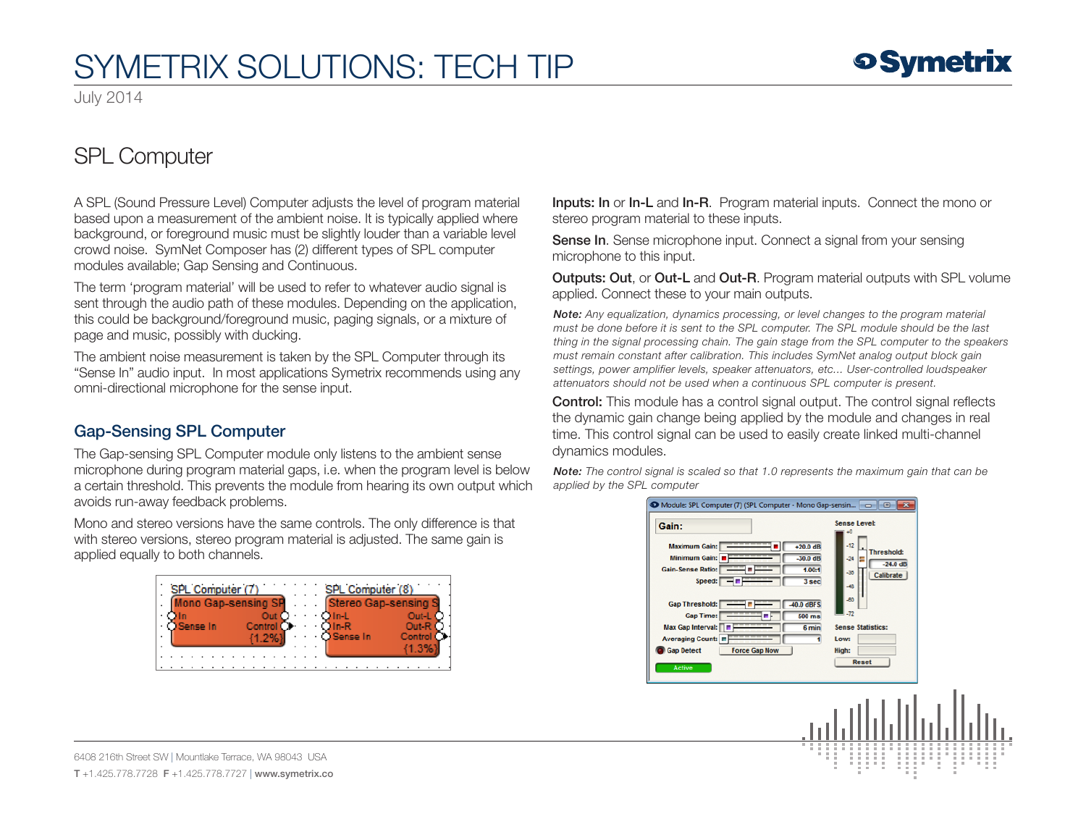### SPL Computer

A SPL (Sound Pressure Level) Computer adjusts the level of program material based upon a measurement of the ambient noise. It is typically applied where background, or foreground music must be slightly louder than a variable level crowd noise. SymNet Composer has (2) different types of SPL computer modules available; Gap Sensing and Continuous.

The term 'program material' will be used to refer to whatever audio signal is sent through the audio path of these modules. Depending on the application, this could be background/foreground music, paging signals, or a mixture of page and music, possibly with ducking.

The ambient noise measurement is taken by the SPL Computer through its "Sense In" audio input. In most applications Symetrix recommends using any omni-directional microphone for the sense input.

#### Gap-Sensing SPL Computer

The Gap-sensing SPL Computer module only listens to the ambient sense microphone during program material gaps, i.e. when the program level is below a certain threshold. This prevents the module from hearing its own output which avoids run-away feedback problems.

Mono and stereo versions have the same controls. The only difference is that with stereo versions, stereo program material is adjusted. The same gain is applied equally to both channels.



Inputs: In or In-L and In-R. Program material inputs. Connect the mono or stereo program material to these inputs.

Sense In. Sense microphone input. Connect a signal from your sensing microphone to this input.

Outputs: Out, or Out-L and Out-R. Program material outputs with SPL volume applied. Connect these to your main outputs.

*Note: Any equalization, dynamics processing, or level changes to the program material must be done before it is sent to the SPL computer. The SPL module should be the last thing in the signal processing chain. The gain stage from the SPL computer to the speakers must remain constant after calibration. This includes SymNet analog output block gain settings, power amplifier levels, speaker attenuators, etc... User-controlled loudspeaker attenuators should not be used when a continuous SPL computer is present.*

Control: This module has a control signal output. The control signal reflects the dynamic gain change being applied by the module and changes in real time. This control signal can be used to easily create linked multi-channel dynamics modules.

*Note: The control signal is scaled so that 1.0 represents the maximum gain that can be applied by the SPL computer*

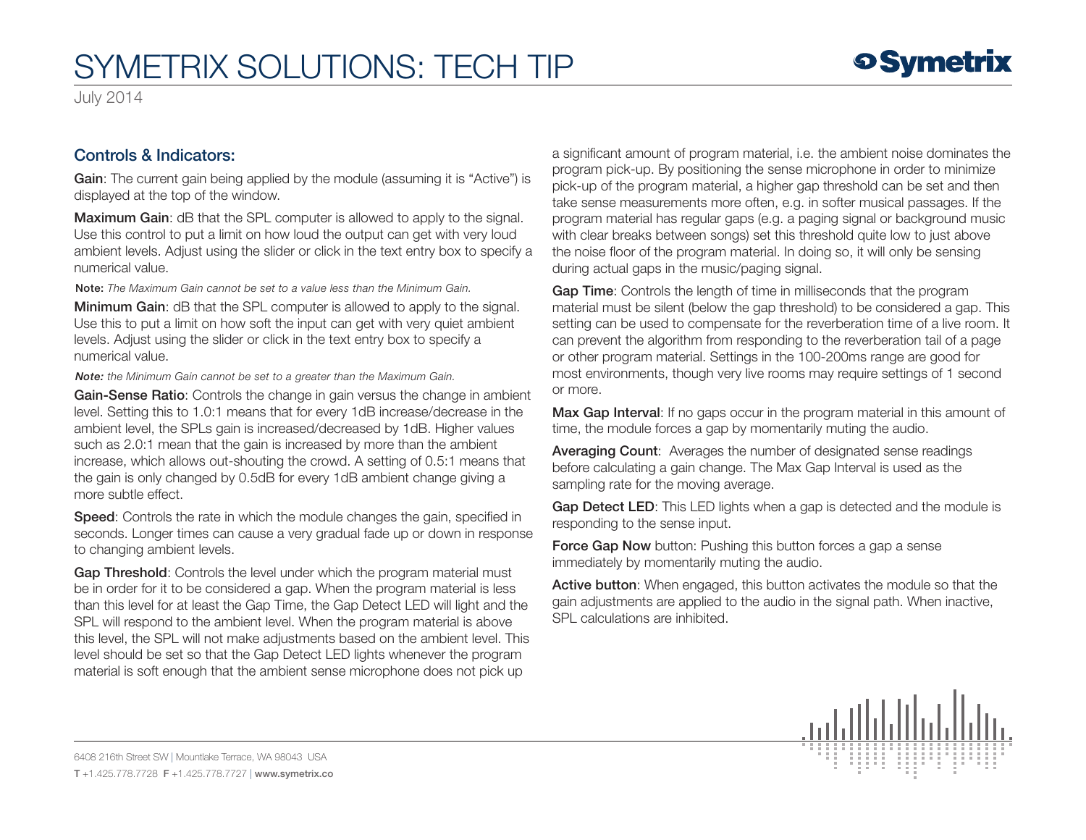#### Controls & Indicators:

Gain: The current gain being applied by the module (assuming it is "Active") is displayed at the top of the window.

Maximum Gain: dB that the SPL computer is allowed to apply to the signal. Use this control to put a limit on how loud the output can get with very loud ambient levels. Adjust using the slider or click in the text entry box to specify a numerical value.

Note: *The Maximum Gain cannot be set to a value less than the Minimum Gain.*

**Minimum Gain:** dB that the SPL computer is allowed to apply to the signal. Use this to put a limit on how soft the input can get with very quiet ambient levels. Adjust using the slider or click in the text entry box to specify a numerical value.

*Note: the Minimum Gain cannot be set to a greater than the Maximum Gain.*

Gain-Sense Ratio: Controls the change in gain versus the change in ambient level. Setting this to 1.0:1 means that for every 1dB increase/decrease in the ambient level, the SPLs gain is increased/decreased by 1dB. Higher values such as 2.0:1 mean that the gain is increased by more than the ambient increase, which allows out-shouting the crowd. A setting of 0.5:1 means that the gain is only changed by 0.5dB for every 1dB ambient change giving a more subtle effect.

Speed: Controls the rate in which the module changes the gain, specified in seconds. Longer times can cause a very gradual fade up or down in response to changing ambient levels.

Gap Threshold: Controls the level under which the program material must be in order for it to be considered a gap. When the program material is less than this level for at least the Gap Time, the Gap Detect LED will light and the SPL will respond to the ambient level. When the program material is above this level, the SPL will not make adjustments based on the ambient level. This level should be set so that the Gap Detect LED lights whenever the program material is soft enough that the ambient sense microphone does not pick up

a significant amount of program material, i.e. the ambient noise dominates the program pick-up. By positioning the sense microphone in order to minimize pick-up of the program material, a higher gap threshold can be set and then take sense measurements more often, e.g. in softer musical passages. If the program material has regular gaps (e.g. a paging signal or background music with clear breaks between songs) set this threshold quite low to just above the noise floor of the program material. In doing so, it will only be sensing during actual gaps in the music/paging signal.

Gap Time: Controls the length of time in milliseconds that the program material must be silent (below the gap threshold) to be considered a gap. This setting can be used to compensate for the reverberation time of a live room. It can prevent the algorithm from responding to the reverberation tail of a page or other program material. Settings in the 100-200ms range are good for most environments, though very live rooms may require settings of 1 second or more.

Max Gap Interval: If no gaps occur in the program material in this amount of time, the module forces a gap by momentarily muting the audio.

Averaging Count: Averages the number of designated sense readings before calculating a gain change. The Max Gap Interval is used as the sampling rate for the moving average.

Gap Detect LED: This LED lights when a gap is detected and the module is responding to the sense input.

Force Gap Now button: Pushing this button forces a gap a sense immediately by momentarily muting the audio.

Active button: When engaged, this button activates the module so that the gain adjustments are applied to the audio in the signal path. When inactive, SPL calculations are inhibited.

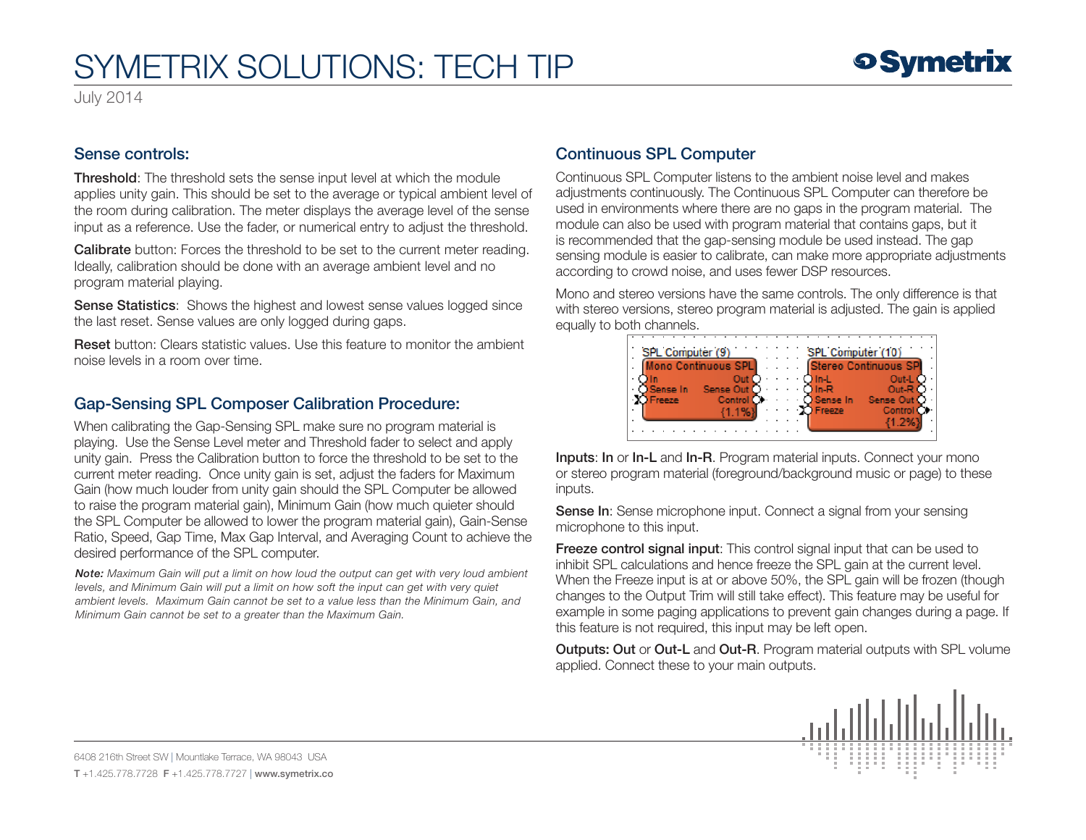#### Sense controls:

Threshold: The threshold sets the sense input level at which the module applies unity gain. This should be set to the average or typical ambient level of the room during calibration. The meter displays the average level of the sense input as a reference. Use the fader, or numerical entry to adjust the threshold.

Calibrate button: Forces the threshold to be set to the current meter reading. Ideally, calibration should be done with an average ambient level and no program material playing.

Sense Statistics: Shows the highest and lowest sense values logged since the last reset. Sense values are only logged during gaps.

Reset button: Clears statistic values. Use this feature to monitor the ambient noise levels in a room over time.

### Gap-Sensing SPL Composer Calibration Procedure:

When calibrating the Gap-Sensing SPL make sure no program material is playing. Use the Sense Level meter and Threshold fader to select and apply unity gain. Press the Calibration button to force the threshold to be set to the current meter reading. Once unity gain is set, adjust the faders for Maximum Gain (how much louder from unity gain should the SPL Computer be allowed to raise the program material gain), Minimum Gain (how much quieter should the SPL Computer be allowed to lower the program material gain), Gain-Sense Ratio, Speed, Gap Time, Max Gap Interval, and Averaging Count to achieve the desired performance of the SPL computer.

*Note: Maximum Gain will put a limit on how loud the output can get with very loud ambient levels, and Minimum Gain will put a limit on how soft the input can get with very quiet ambient levels. Maximum Gain cannot be set to a value less than the Minimum Gain, and Minimum Gain cannot be set to a greater than the Maximum Gain.*

### Continuous SPL Computer

Continuous SPL Computer listens to the ambient noise level and makes adjustments continuously. The Continuous SPL Computer can therefore be used in environments where there are no gaps in the program material. The module can also be used with program material that contains gaps, but it is recommended that the gap-sensing module be used instead. The gap sensing module is easier to calibrate, can make more appropriate adjustments according to crowd noise, and uses fewer DSP resources.

Mono and stereo versions have the same controls. The only difference is that with stereo versions, stereo program material is adjusted. The gain is applied equally to both channels.



Inputs: In or In-L and In-R. Program material inputs. Connect your mono or stereo program material (foreground/background music or page) to these inputs.

Sense In: Sense microphone input. Connect a signal from your sensing microphone to this input.

Freeze control signal input: This control signal input that can be used to inhibit SPL calculations and hence freeze the SPL gain at the current level. When the Freeze input is at or above 50%, the SPL gain will be frozen (though changes to the Output Trim will still take effect). This feature may be useful for example in some paging applications to prevent gain changes during a page. If this feature is not required, this input may be left open.

Outputs: Out or Out-L and Out-R. Program material outputs with SPL volume applied. Connect these to your main outputs.

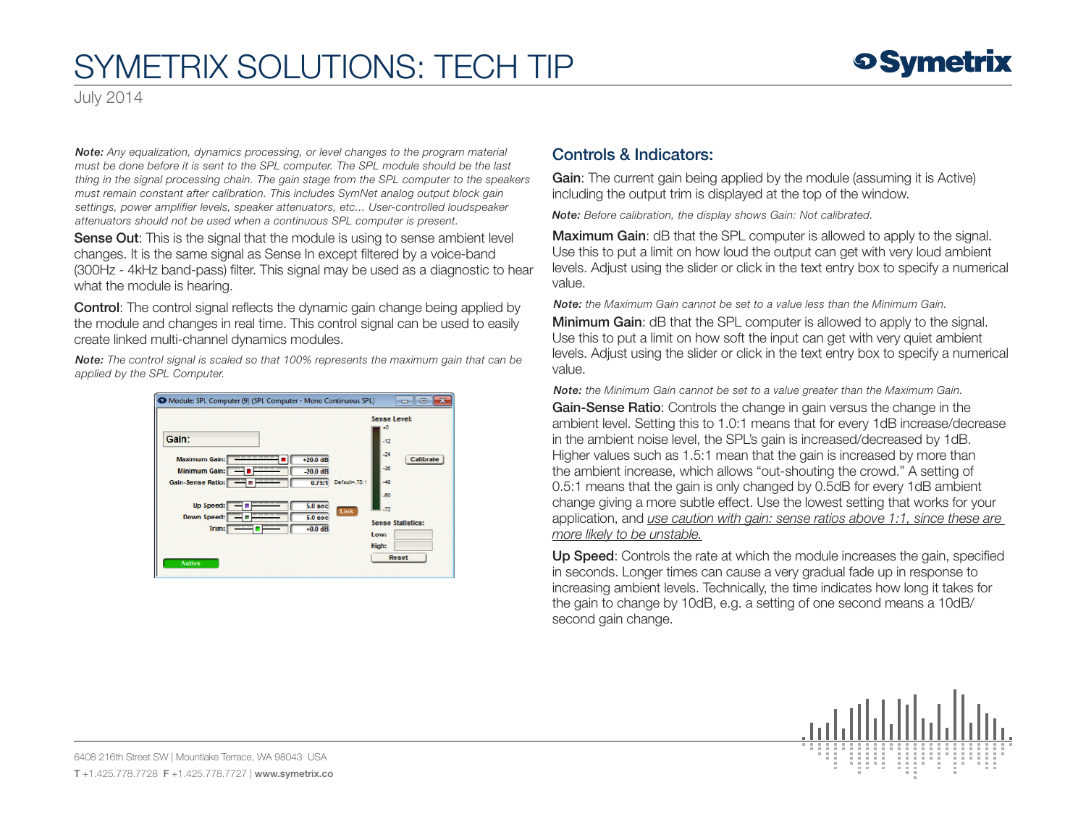July 2014

*Note: Any equalization, dynamics processing, or level changes to the program material must be done before it is sent to the SPL computer. The SPL module should be the last thing in the signal processing chain. The gain stage from the SPL computer to the speakers must remain constant after calibration. This includes SymNet analog output block gain settings, power amplifier levels, speaker attenuators, etc... User-controlled loudspeaker attenuators should not be used when a continuous SPL computer is present.*

Sense Out: This is the signal that the module is using to sense ambient level changes. It is the same signal as Sense In except filtered by a voice-band (300Hz - 4kHz band-pass) filter. This signal may be used as a diagnostic to hear what the module is hearing.

Control: The control signal reflects the dynamic gain change being applied by the module and changes in real time. This control signal can be used to easily create linked multi-channel dynamics modules.

*Note: The control signal is scaled so that 100% represents the maximum gain that can be applied by the SPL Computer.*

|                                                     | <b>Sense Level:</b><br>40 |
|-----------------------------------------------------|---------------------------|
| Gain:                                               | $-12$                     |
| <b>Maximum Gain:</b><br>$+20.0$ dB                  | $-24$<br>Calibrate        |
| <b>Minimum Gain:</b><br>$-20.0$ dB                  | $-36$                     |
| Default=.75:1<br>0.75:1<br><b>Gain-Sense Ratio:</b> | $-48$                     |
|                                                     | $-80$                     |
| <b>Up Speed:</b><br>5.0 <sub>sec</sub><br>Link      | $-72$                     |
| 5.0 <sub>sec</sub><br><b>Down Speed:</b>            | <b>Sense Statistics:</b>  |
| $+0.0$ dB<br>Trim:                                  | Low:                      |
|                                                     | High:                     |

### Controls & Indicators:

Gain: The current gain being applied by the module (assuming it is Active) including the output trim is displayed at the top of the window.

*Note: Before calibration, the display shows Gain: Not calibrated.*

Maximum Gain: dB that the SPL computer is allowed to apply to the signal. Use this to put a limit on how loud the output can get with very loud ambient levels. Adjust using the slider or click in the text entry box to specify a numerical value.

*Note: the Maximum Gain cannot be set to a value less than the Minimum Gain.*

**Minimum Gain:** dB that the SPL computer is allowed to apply to the signal. Use this to put a limit on how soft the input can get with very quiet ambient levels. Adjust using the slider or click in the text entry box to specify a numerical value.

*Note: the Minimum Gain cannot be set to a value greater than the Maximum Gain.*

Gain-Sense Ratio: Controls the change in gain versus the change in the ambient level. Setting this to 1.0:1 means that for every 1dB increase/decrease in the ambient noise level, the SPL's gain is increased/decreased by 1dB. Higher values such as 1.5:1 mean that the gain is increased by more than the ambient increase, which allows "out-shouting the crowd." A setting of 0.5:1 means that the gain is only changed by 0.5dB for every 1dB ambient change giving a more subtle effect. Use the lowest setting that works for your application, and *use caution with gain: sense ratios above 1:1, since these are more likely to be unstable.*

Up Speed: Controls the rate at which the module increases the gain, specified in seconds. Longer times can cause a very gradual fade up in response to increasing ambient levels. Technically, the time indicates how long it takes for the gain to change by 10dB, e.g. a setting of one second means a 10dB/ second gain change.

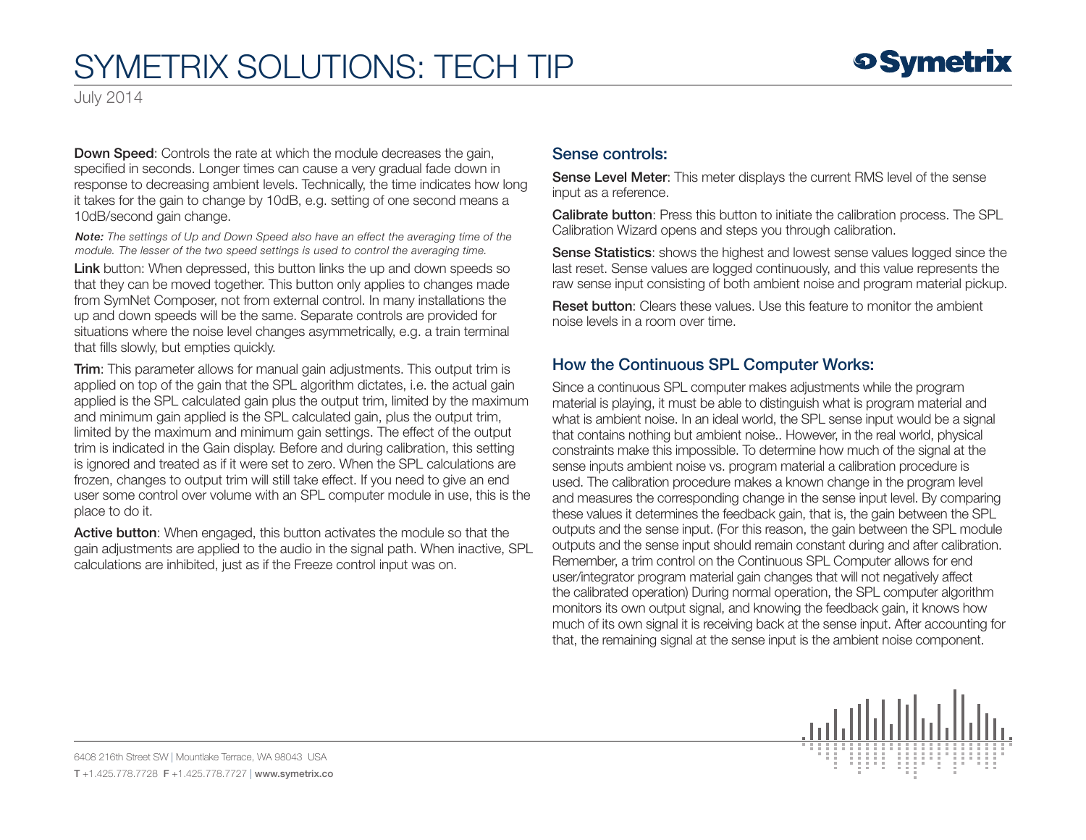July 2014

Down Speed: Controls the rate at which the module decreases the gain, specified in seconds. Longer times can cause a very gradual fade down in response to decreasing ambient levels. Technically, the time indicates how long it takes for the gain to change by 10dB, e.g. setting of one second means a 10dB/second gain change.

*Note: The settings of Up and Down Speed also have an effect the averaging time of the module. The lesser of the two speed settings is used to control the averaging time.*

Link button: When depressed, this button links the up and down speeds so that they can be moved together. This button only applies to changes made from SymNet Composer, not from external control. In many installations the up and down speeds will be the same. Separate controls are provided for situations where the noise level changes asymmetrically, e.g. a train terminal that fills slowly, but empties quickly.

Trim: This parameter allows for manual gain adjustments. This output trim is applied on top of the gain that the SPL algorithm dictates, i.e. the actual gain applied is the SPL calculated gain plus the output trim, limited by the maximum and minimum gain applied is the SPL calculated gain, plus the output trim, limited by the maximum and minimum gain settings. The effect of the output trim is indicated in the Gain display. Before and during calibration, this setting is ignored and treated as if it were set to zero. When the SPL calculations are frozen, changes to output trim will still take effect. If you need to give an end user some control over volume with an SPL computer module in use, this is the place to do it.

Active button: When engaged, this button activates the module so that the gain adjustments are applied to the audio in the signal path. When inactive, SPL calculations are inhibited, just as if the Freeze control input was on.

### Sense controls:

Sense Level Meter: This meter displays the current RMS level of the sense input as a reference.

Calibrate button: Press this button to initiate the calibration process. The SPL Calibration Wizard opens and steps you through calibration.

Sense Statistics: shows the highest and lowest sense values logged since the last reset. Sense values are logged continuously, and this value represents the raw sense input consisting of both ambient noise and program material pickup.

**Reset button:** Clears these values. Use this feature to monitor the ambient noise levels in a room over time.

### How the Continuous SPL Computer Works:

Since a continuous SPL computer makes adjustments while the program material is playing, it must be able to distinguish what is program material and what is ambient noise. In an ideal world, the SPL sense input would be a signal that contains nothing but ambient noise.. However, in the real world, physical constraints make this impossible. To determine how much of the signal at the sense inputs ambient noise vs. program material a calibration procedure is used. The calibration procedure makes a known change in the program level and measures the corresponding change in the sense input level. By comparing these values it determines the feedback gain, that is, the gain between the SPL outputs and the sense input. (For this reason, the gain between the SPL module outputs and the sense input should remain constant during and after calibration. Remember, a trim control on the Continuous SPL Computer allows for end user/integrator program material gain changes that will not negatively affect the calibrated operation) During normal operation, the SPL computer algorithm monitors its own output signal, and knowing the feedback gain, it knows how much of its own signal it is receiving back at the sense input. After accounting for that, the remaining signal at the sense input is the ambient noise component.

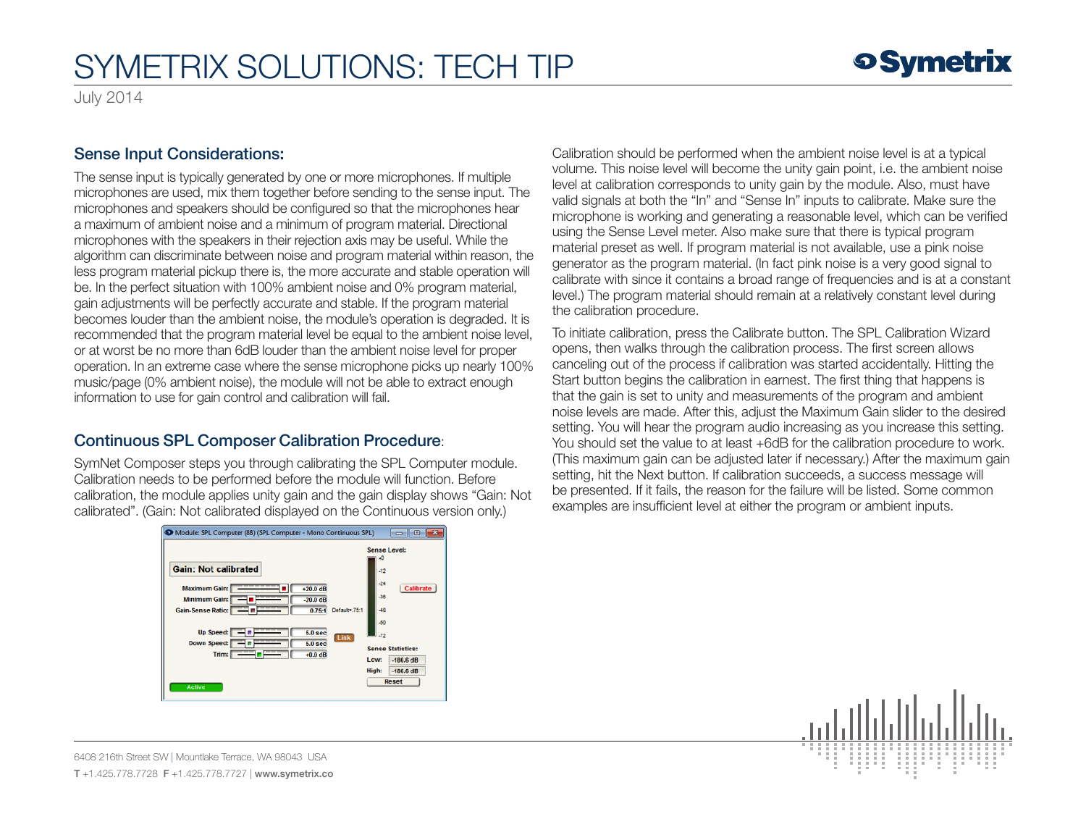

July 2014

#### Sense Input Considerations:

The sense input is typically generated by one or more microphones. If multiple microphones are used, mix them together before sending to the sense input. The microphones and speakers should be configured so that the microphones hear a maximum of ambient noise and a minimum of program material. Directional microphones with the speakers in their rejection axis may be useful. While the algorithm can discriminate between noise and program material within reason, the less program material pickup there is, the more accurate and stable operation will be. In the perfect situation with 100% ambient noise and 0% program material, gain adjustments will be perfectly accurate and stable. If the program material becomes louder than the ambient noise, the module's operation is degraded. It is recommended that the program material level be equal to the ambient noise level, or at worst be no more than 6dB louder than the ambient noise level for proper operation. In an extreme case where the sense microphone picks up nearly 100% music/page (0% ambient noise), the module will not be able to extract enough information to use for gain control and calibration will fail.

#### Continuous SPL Composer Calibration Procedure:

SymNet Composer steps you through calibrating the SPL Computer module. Calibration needs to be performed before the module will function. Before calibration, the module applies unity gain and the gain display shows "Gain: Not calibrated". (Gain: Not calibrated displayed on the Continuous version only.)



Calibration should be performed when the ambient noise level is at a typical volume. This noise level will become the unity gain point, i.e. the ambient noise level at calibration corresponds to unity gain by the module. Also, must have valid signals at both the "In" and "Sense In" inputs to calibrate. Make sure the microphone is working and generating a reasonable level, which can be verified using the Sense Level meter. Also make sure that there is typical program material preset as well. If program material is not available, use a pink noise generator as the program material. (In fact pink noise is a very good signal to calibrate with since it contains a broad range of frequencies and is at a constant level.) The program material should remain at a relatively constant level during the calibration procedure.

To initiate calibration, press the Calibrate button. The SPL Calibration Wizard opens, then walks through the calibration process. The first screen allows canceling out of the process if calibration was started accidentally. Hitting the Start button begins the calibration in earnest. The first thing that happens is that the gain is set to unity and measurements of the program and ambient noise levels are made. After this, adjust the Maximum Gain slider to the desired setting. You will hear the program audio increasing as you increase this setting. You should set the value to at least +6dB for the calibration procedure to work. (This maximum gain can be adjusted later if necessary.) After the maximum gain setting, hit the Next button. If calibration succeeds, a success message will be presented. If it fails, the reason for the failure will be listed. Some common examples are insufficient level at either the program or ambient inputs.

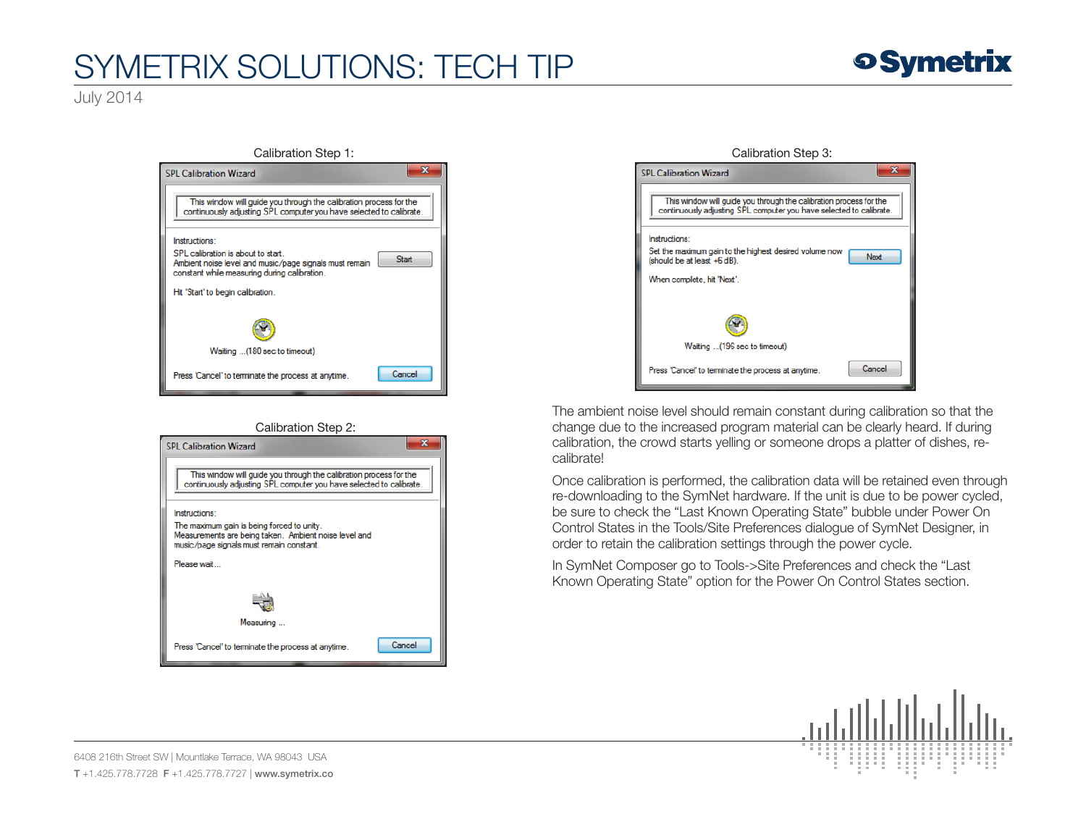

July 2014







The ambient noise level should remain constant during calibration so that the change due to the increased program material can be clearly heard. If during calibration, the crowd starts yelling or someone drops a platter of dishes, recalibrate!

Once calibration is performed, the calibration data will be retained even through re-downloading to the SymNet hardware. If the unit is due to be power cycled, be sure to check the "Last Known Operating State" bubble under Power On Control States in the Tools/Site Preferences dialogue of SymNet Designer, in order to retain the calibration settings through the power cycle.

In SymNet Composer go to Tools->Site Preferences and check the "Last Known Operating State" option for the Power On Control States section.

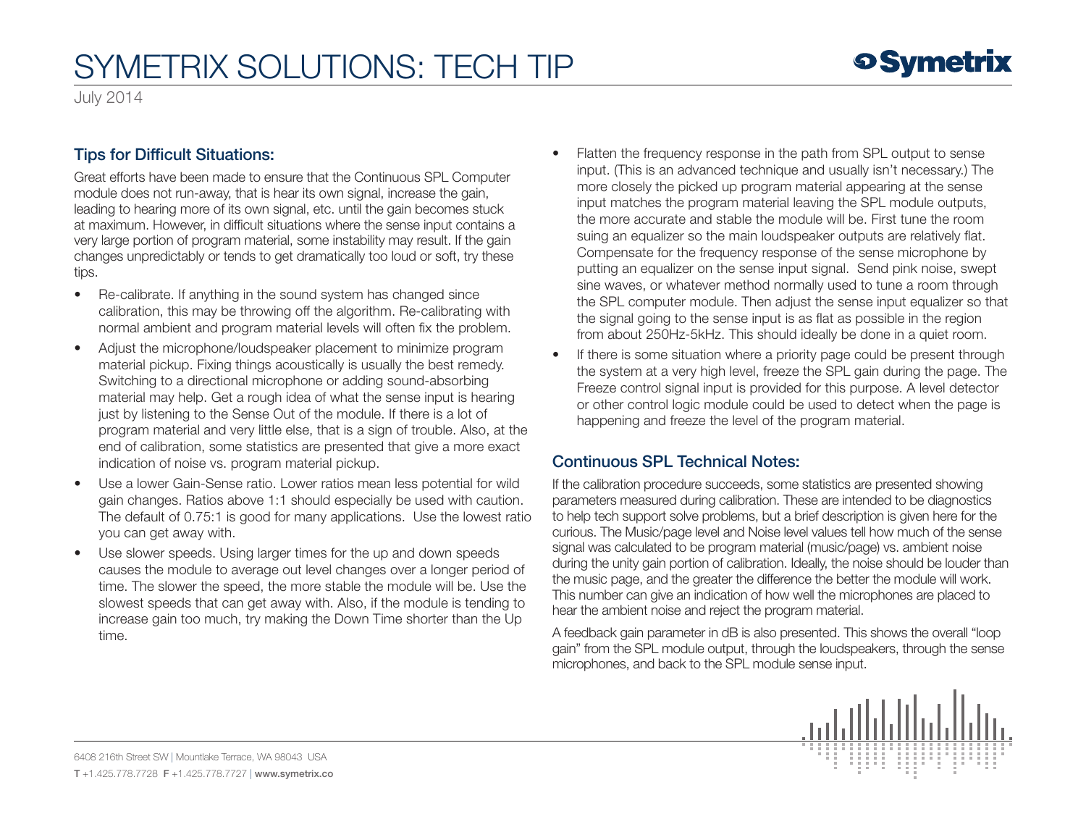July 2014

#### Tips for Difficult Situations:

Great efforts have been made to ensure that the Continuous SPL Computer module does not run-away, that is hear its own signal, increase the gain, leading to hearing more of its own signal, etc. until the gain becomes stuck at maximum. However, in difficult situations where the sense input contains a very large portion of program material, some instability may result. If the gain changes unpredictably or tends to get dramatically too loud or soft, try these tips.

- Re-calibrate. If anything in the sound system has changed since calibration, this may be throwing off the algorithm. Re-calibrating with normal ambient and program material levels will often fix the problem.
- Adjust the microphone/loudspeaker placement to minimize program material pickup. Fixing things acoustically is usually the best remedy. Switching to a directional microphone or adding sound-absorbing material may help. Get a rough idea of what the sense input is hearing just by listening to the Sense Out of the module. If there is a lot of program material and very little else, that is a sign of trouble. Also, at the end of calibration, some statistics are presented that give a more exact indication of noise vs. program material pickup.
- Use a lower Gain-Sense ratio. Lower ratios mean less potential for wild gain changes. Ratios above 1:1 should especially be used with caution. The default of 0.75:1 is good for many applications. Use the lowest ratio you can get away with.
- Use slower speeds. Using larger times for the up and down speeds causes the module to average out level changes over a longer period of time. The slower the speed, the more stable the module will be. Use the slowest speeds that can get away with. Also, if the module is tending to increase gain too much, try making the Down Time shorter than the Up time.
- Flatten the frequency response in the path from SPL output to sense input. (This is an advanced technique and usually isn't necessary.) The more closely the picked up program material appearing at the sense input matches the program material leaving the SPL module outputs, the more accurate and stable the module will be. First tune the room suing an equalizer so the main loudspeaker outputs are relatively flat. Compensate for the frequency response of the sense microphone by putting an equalizer on the sense input signal. Send pink noise, swept sine waves, or whatever method normally used to tune a room through the SPL computer module. Then adjust the sense input equalizer so that the signal going to the sense input is as flat as possible in the region from about 250Hz-5kHz. This should ideally be done in a quiet room.
- If there is some situation where a priority page could be present through the system at a very high level, freeze the SPL gain during the page. The Freeze control signal input is provided for this purpose. A level detector or other control logic module could be used to detect when the page is happening and freeze the level of the program material.

#### Continuous SPL Technical Notes:

If the calibration procedure succeeds, some statistics are presented showing parameters measured during calibration. These are intended to be diagnostics to help tech support solve problems, but a brief description is given here for the curious. The Music/page level and Noise level values tell how much of the sense signal was calculated to be program material (music/page) vs. ambient noise during the unity gain portion of calibration. Ideally, the noise should be louder than the music page, and the greater the difference the better the module will work. This number can give an indication of how well the microphones are placed to hear the ambient noise and reject the program material.

A feedback gain parameter in dB is also presented. This shows the overall "loop gain" from the SPL module output, through the loudspeakers, through the sense microphones, and back to the SPL module sense input.